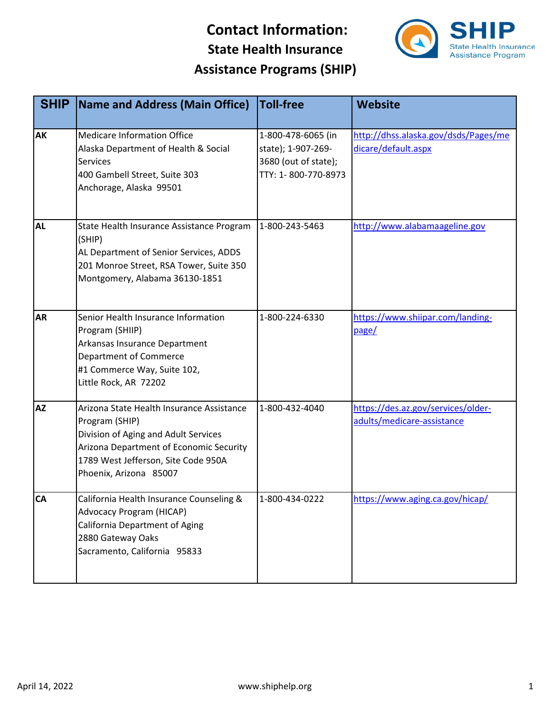

| <b>SHIP</b> | Name and Address (Main Office)                                                                                                                                                                                  | <b>Toll-free</b>                                                                        | <b>Website</b>                                                   |
|-------------|-----------------------------------------------------------------------------------------------------------------------------------------------------------------------------------------------------------------|-----------------------------------------------------------------------------------------|------------------------------------------------------------------|
| <b>AK</b>   | <b>Medicare Information Office</b><br>Alaska Department of Health & Social<br><b>Services</b><br>400 Gambell Street, Suite 303<br>Anchorage, Alaska 99501                                                       | 1-800-478-6065 (in<br>state); 1-907-269-<br>3680 (out of state);<br>TTY: 1-800-770-8973 | http://dhss.alaska.gov/dsds/Pages/me<br>dicare/default.aspx      |
| <b>AL</b>   | State Health Insurance Assistance Program<br>(SHIP)<br>AL Department of Senior Services, ADDS<br>201 Monroe Street, RSA Tower, Suite 350<br>Montgomery, Alabama 36130-1851                                      | 1-800-243-5463                                                                          | http://www.alabamaageline.gov                                    |
| <b>AR</b>   | Senior Health Insurance Information<br>Program (SHIIP)<br>Arkansas Insurance Department<br><b>Department of Commerce</b><br>#1 Commerce Way, Suite 102,<br>Little Rock, AR 72202                                | 1-800-224-6330                                                                          | https://www.shiipar.com/landing-<br>page/                        |
| <b>AZ</b>   | Arizona State Health Insurance Assistance<br>Program (SHIP)<br>Division of Aging and Adult Services<br>Arizona Department of Economic Security<br>1789 West Jefferson, Site Code 950A<br>Phoenix, Arizona 85007 | 1-800-432-4040                                                                          | https://des.az.gov/services/older-<br>adults/medicare-assistance |
| <b>CA</b>   | California Health Insurance Counseling &<br>Advocacy Program (HICAP)<br>California Department of Aging<br>2880 Gateway Oaks<br>Sacramento, California 95833                                                     | 1-800-434-0222                                                                          | https://www.aging.ca.gov/hicap/                                  |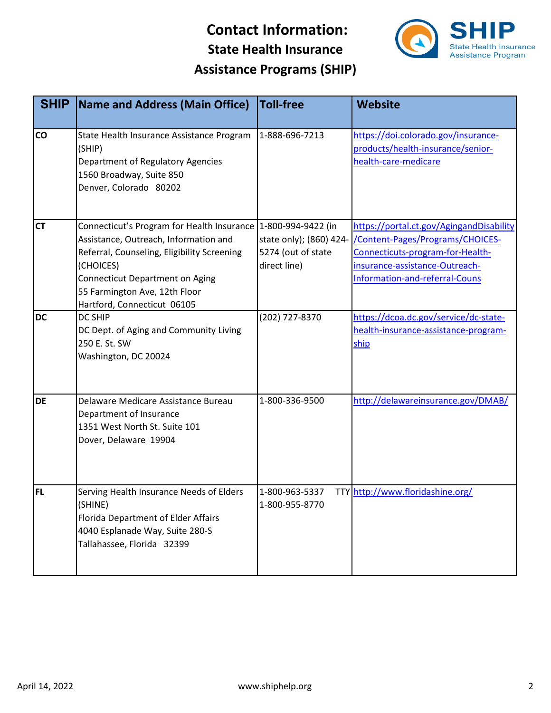

| <b>SHIP</b> | <b>Name and Address (Main Office)</b>                                                                                                                                                                                                                                          | <b>Toll-free</b>                                              | <b>Website</b>                                                                                                                                                                       |
|-------------|--------------------------------------------------------------------------------------------------------------------------------------------------------------------------------------------------------------------------------------------------------------------------------|---------------------------------------------------------------|--------------------------------------------------------------------------------------------------------------------------------------------------------------------------------------|
| <b>CO</b>   | State Health Insurance Assistance Program<br>(SHIP)<br>Department of Regulatory Agencies<br>1560 Broadway, Suite 850<br>Denver, Colorado 80202                                                                                                                                 | 1-888-696-7213                                                | https://doi.colorado.gov/insurance-<br>products/health-insurance/senior-<br>health-care-medicare                                                                                     |
| <b>CT</b>   | Connecticut's Program for Health Insurance   1-800-994-9422 (in<br>Assistance, Outreach, Information and<br>Referral, Counseling, Eligibility Screening<br>(CHOICES)<br><b>Connecticut Department on Aging</b><br>55 Farmington Ave, 12th Floor<br>Hartford, Connecticut 06105 | state only); (860) 424-<br>5274 (out of state<br>direct line) | https://portal.ct.gov/AgingandDisability<br>/Content-Pages/Programs/CHOICES-<br>Connecticuts-program-for-Health-<br>insurance-assistance-Outreach-<br>Information-and-referral-Couns |
| <b>DC</b>   | <b>DC SHIP</b><br>DC Dept. of Aging and Community Living<br>250 E. St. SW<br>Washington, DC 20024                                                                                                                                                                              | (202) 727-8370                                                | https://dcoa.dc.gov/service/dc-state-<br>health-insurance-assistance-program-<br>ship                                                                                                |
| <b>DE</b>   | Delaware Medicare Assistance Bureau<br>Department of Insurance<br>1351 West North St. Suite 101<br>Dover, Delaware 19904                                                                                                                                                       | 1-800-336-9500                                                | http://delawareinsurance.gov/DMAB/                                                                                                                                                   |
| <b>FL</b>   | Serving Health Insurance Needs of Elders<br>(SHINE)<br>Florida Department of Elder Affairs<br>4040 Esplanade Way, Suite 280-S<br>Tallahassee, Florida 32399                                                                                                                    | 1-800-963-5337<br>1-800-955-8770                              | TTY http://www.floridashine.org/                                                                                                                                                     |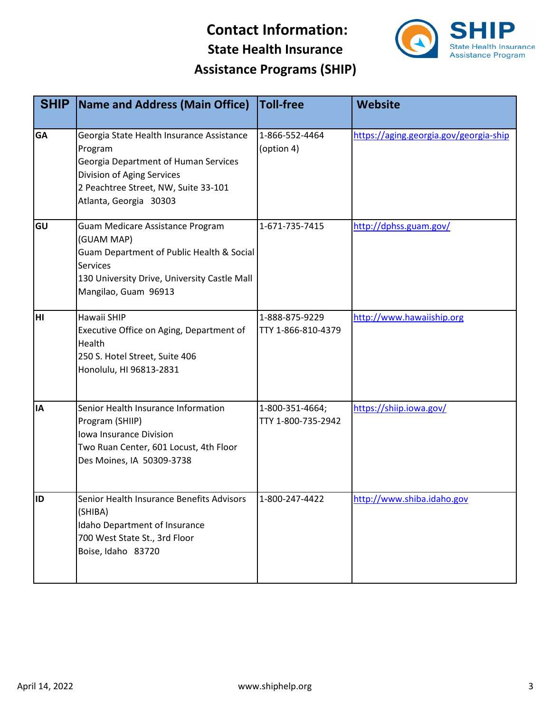

| <b>SHIP</b> | Name and Address (Main Office)                                                                                                                                                               | <b>Toll-free</b>                      | <b>Website</b>                         |
|-------------|----------------------------------------------------------------------------------------------------------------------------------------------------------------------------------------------|---------------------------------------|----------------------------------------|
| <b>GA</b>   | Georgia State Health Insurance Assistance<br>Program<br>Georgia Department of Human Services<br>Division of Aging Services<br>2 Peachtree Street, NW, Suite 33-101<br>Atlanta, Georgia 30303 | 1-866-552-4464<br>(option 4)          | https://aging.georgia.gov/georgia-ship |
| GU          | Guam Medicare Assistance Program<br>(GUAM MAP)<br>Guam Department of Public Health & Social<br><b>Services</b><br>130 University Drive, University Castle Mall<br>Mangilao, Guam 96913       | 1-671-735-7415                        | http://dphss.guam.gov/                 |
| HI          | Hawaii SHIP<br>Executive Office on Aging, Department of<br>Health<br>250 S. Hotel Street, Suite 406<br>Honolulu, HI 96813-2831                                                               | 1-888-875-9229<br>TTY 1-866-810-4379  | http://www.hawaiiship.org              |
| <b>IA</b>   | Senior Health Insurance Information<br>Program (SHIIP)<br>Iowa Insurance Division<br>Two Ruan Center, 601 Locust, 4th Floor<br>Des Moines, IA 50309-3738                                     | 1-800-351-4664;<br>TTY 1-800-735-2942 | https://shiip.iowa.gov/                |
| <b>ID</b>   | Senior Health Insurance Benefits Advisors<br>(SHIBA)<br>Idaho Department of Insurance<br>700 West State St., 3rd Floor<br>Boise, Idaho 83720                                                 | 1-800-247-4422                        | http://www.shiba.idaho.gov             |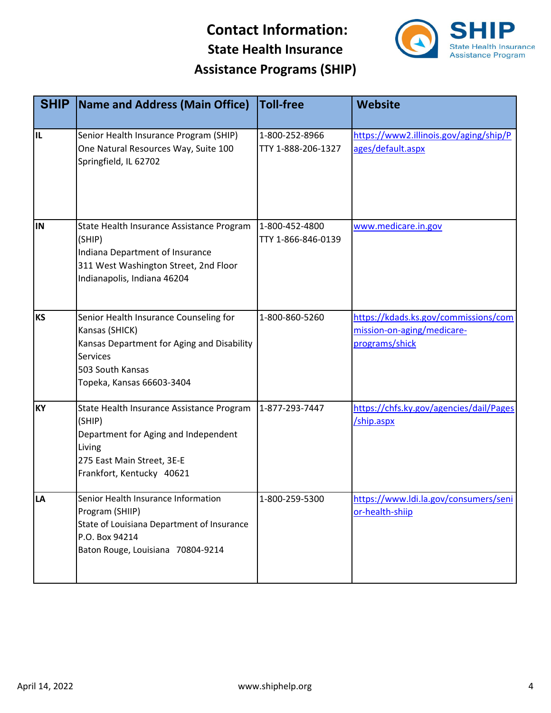

| <b>SHIP</b> | <b>Name and Address (Main Office)</b>                                                                                                                                      | <b>Toll-free</b>                     | <b>Website</b>                                                                       |
|-------------|----------------------------------------------------------------------------------------------------------------------------------------------------------------------------|--------------------------------------|--------------------------------------------------------------------------------------|
| Iil         | Senior Health Insurance Program (SHIP)<br>One Natural Resources Way, Suite 100<br>Springfield, IL 62702                                                                    | 1-800-252-8966<br>TTY 1-888-206-1327 | https://www2.illinois.gov/aging/ship/P<br>ages/default.aspx                          |
| IN          | State Health Insurance Assistance Program<br>(SHIP)<br>Indiana Department of Insurance<br>311 West Washington Street, 2nd Floor<br>Indianapolis, Indiana 46204             | 1-800-452-4800<br>TTY 1-866-846-0139 | www.medicare.in.gov                                                                  |
| <b>KS</b>   | Senior Health Insurance Counseling for<br>Kansas (SHICK)<br>Kansas Department for Aging and Disability<br><b>Services</b><br>503 South Kansas<br>Topeka, Kansas 66603-3404 | 1-800-860-5260                       | https://kdads.ks.gov/commissions/com<br>mission-on-aging/medicare-<br>programs/shick |
| <b>KY</b>   | State Health Insurance Assistance Program<br>(SHIP)<br>Department for Aging and Independent<br>Living<br>275 East Main Street, 3E-E<br>Frankfort, Kentucky 40621           | 1-877-293-7447                       | https://chfs.ky.gov/agencies/dail/Pages<br>/ship.aspx                                |
| LA          | Senior Health Insurance Information<br>Program (SHIIP)<br>State of Louisiana Department of Insurance<br>P.O. Box 94214<br>Baton Rouge, Louisiana 70804-9214                | 1-800-259-5300                       | https://www.ldi.la.gov/consumers/seni<br>or-health-shiip                             |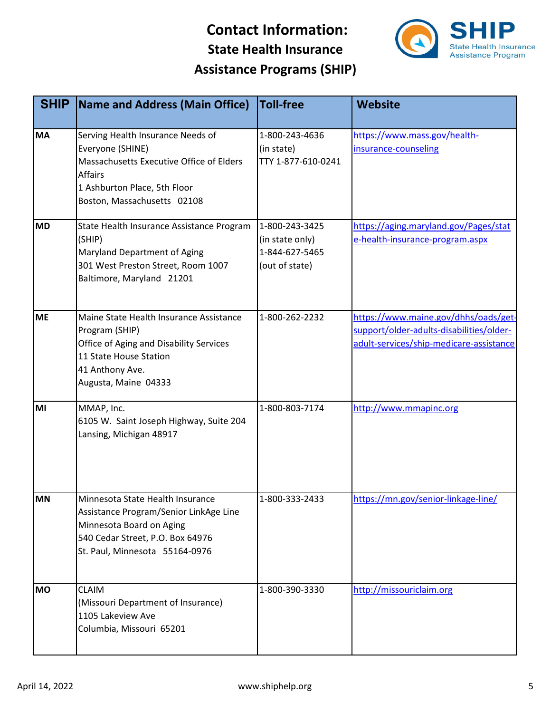

| <b>SHIP</b> | Name and Address (Main Office)                                                                                                                                                     | <b>Toll-free</b>                                                      | <b>Website</b>                                                                                                              |
|-------------|------------------------------------------------------------------------------------------------------------------------------------------------------------------------------------|-----------------------------------------------------------------------|-----------------------------------------------------------------------------------------------------------------------------|
| <b>MA</b>   | Serving Health Insurance Needs of<br>Everyone (SHINE)<br>Massachusetts Executive Office of Elders<br><b>Affairs</b><br>1 Ashburton Place, 5th Floor<br>Boston, Massachusetts 02108 | 1-800-243-4636<br>(in state)<br>TTY 1-877-610-0241                    | https://www.mass.gov/health-<br>insurance-counseling                                                                        |
| <b>MD</b>   | State Health Insurance Assistance Program<br>(SHIP)<br>Maryland Department of Aging<br>301 West Preston Street, Room 1007<br>Baltimore, Maryland 21201                             | 1-800-243-3425<br>(in state only)<br>1-844-627-5465<br>(out of state) | https://aging.maryland.gov/Pages/stat<br>e-health-insurance-program.aspx                                                    |
| <b>ME</b>   | Maine State Health Insurance Assistance<br>Program (SHIP)<br>Office of Aging and Disability Services<br>11 State House Station<br>41 Anthony Ave.<br>Augusta, Maine 04333          | 1-800-262-2232                                                        | https://www.maine.gov/dhhs/oads/get-<br>support/older-adults-disabilities/older-<br>adult-services/ship-medicare-assistance |
| MI          | MMAP, Inc.<br>6105 W. Saint Joseph Highway, Suite 204<br>Lansing, Michigan 48917                                                                                                   | 1-800-803-7174                                                        | http://www.mmapinc.org                                                                                                      |
| MN          | Minnesota State Health Insurance<br>Assistance Program/Senior LinkAge Line<br>Minnesota Board on Aging<br>540 Cedar Street, P.O. Box 64976<br>St. Paul, Minnesota 55164-0976       | 1-800-333-2433                                                        | https://mn.gov/senior-linkage-line/                                                                                         |
| <b>MO</b>   | <b>CLAIM</b><br>(Missouri Department of Insurance)<br>1105 Lakeview Ave<br>Columbia, Missouri 65201                                                                                | 1-800-390-3330                                                        | http://missouriclaim.org                                                                                                    |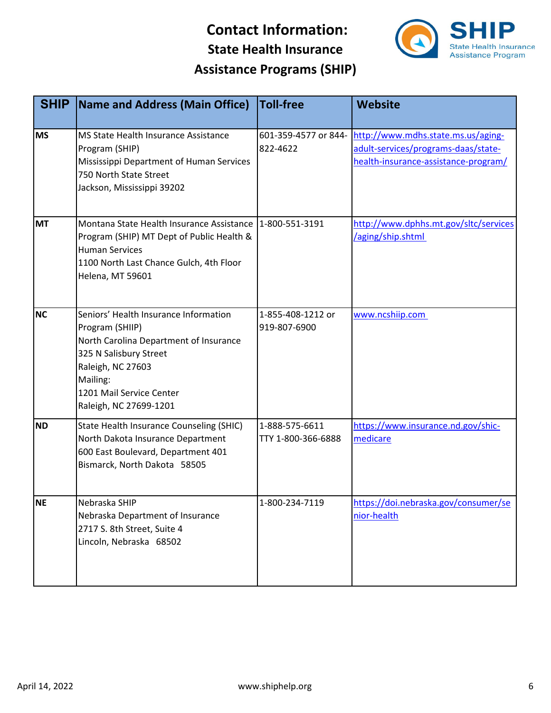

| <b>SHIP</b> | Name and Address (Main Office)                                                                                                                                                                                      | <b>Toll-free</b>                     | <b>Website</b>                                                                                                    |
|-------------|---------------------------------------------------------------------------------------------------------------------------------------------------------------------------------------------------------------------|--------------------------------------|-------------------------------------------------------------------------------------------------------------------|
| <b>MS</b>   | MS State Health Insurance Assistance<br>Program (SHIP)<br>Mississippi Department of Human Services<br>750 North State Street<br>Jackson, Mississippi 39202                                                          | 601-359-4577 or 844-<br>822-4622     | http://www.mdhs.state.ms.us/aging-<br>adult-services/programs-daas/state-<br>health-insurance-assistance-program/ |
| <b>MT</b>   | Montana State Health Insurance Assistance<br>Program (SHIP) MT Dept of Public Health &<br><b>Human Services</b><br>1100 North Last Chance Gulch, 4th Floor<br>Helena, MT 59601                                      | 1-800-551-3191                       | http://www.dphhs.mt.gov/sltc/services<br>/aging/ship.shtml                                                        |
| <b>NC</b>   | Seniors' Health Insurance Information<br>Program (SHIIP)<br>North Carolina Department of Insurance<br>325 N Salisbury Street<br>Raleigh, NC 27603<br>Mailing:<br>1201 Mail Service Center<br>Raleigh, NC 27699-1201 | 1-855-408-1212 or<br>919-807-6900    | www.ncshiip.com                                                                                                   |
| <b>ND</b>   | State Health Insurance Counseling (SHIC)<br>North Dakota Insurance Department<br>600 East Boulevard, Department 401<br>Bismarck, North Dakota 58505                                                                 | 1-888-575-6611<br>TTY 1-800-366-6888 | https://www.insurance.nd.gov/shic-<br>medicare                                                                    |
| <b>NE</b>   | Nebraska SHIP<br>Nebraska Department of Insurance<br>2717 S. 8th Street, Suite 4<br>Lincoln, Nebraska 68502                                                                                                         | 1-800-234-7119                       | https://doi.nebraska.gov/consumer/se<br>nior-health                                                               |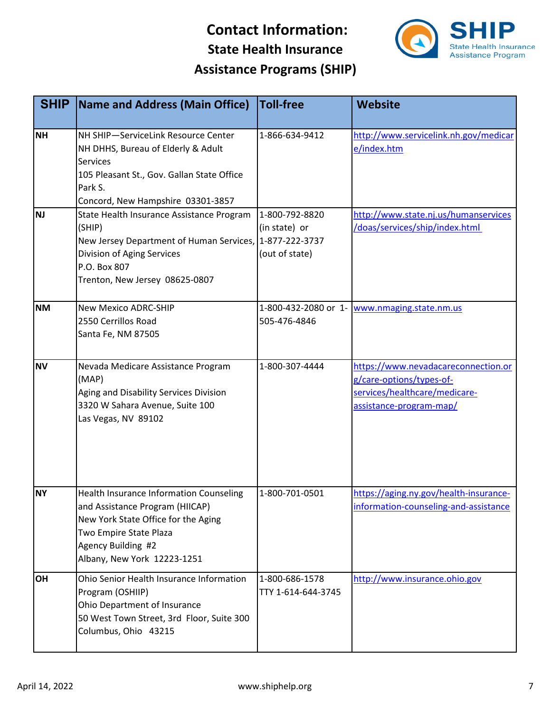

| <b>SHIP</b> | <b>Name and Address (Main Office)</b>                                      | <b>Toll-free</b>   | Website                                                                         |
|-------------|----------------------------------------------------------------------------|--------------------|---------------------------------------------------------------------------------|
|             |                                                                            |                    |                                                                                 |
| <b>NH</b>   | NH SHIP-ServiceLink Resource Center                                        | 1-866-634-9412     | http://www.servicelink.nh.gov/medicar                                           |
|             | NH DHHS, Bureau of Elderly & Adult<br><b>Services</b>                      |                    | e/index.htm                                                                     |
|             | 105 Pleasant St., Gov. Gallan State Office                                 |                    |                                                                                 |
|             | Park S.                                                                    |                    |                                                                                 |
|             | Concord, New Hampshire 03301-3857                                          |                    |                                                                                 |
| <b>NJ</b>   | State Health Insurance Assistance Program                                  | 1-800-792-8820     | http://www.state.nj.us/humanservices                                            |
|             | (SHIP)                                                                     | (in state) or      | /doas/services/ship/index.html                                                  |
|             | New Jersey Department of Human Services, 1-877-222-3737                    |                    |                                                                                 |
|             | Division of Aging Services                                                 | (out of state)     |                                                                                 |
|             | P.O. Box 807                                                               |                    |                                                                                 |
|             | Trenton, New Jersey 08625-0807                                             |                    |                                                                                 |
| <b>NM</b>   | <b>New Mexico ADRC-SHIP</b>                                                |                    | 1-800-432-2080 or 1- www.nmaging.state.nm.us                                    |
|             | 2550 Cerrillos Road                                                        | 505-476-4846       |                                                                                 |
|             | Santa Fe, NM 87505                                                         |                    |                                                                                 |
|             |                                                                            |                    |                                                                                 |
| <b>NV</b>   | Nevada Medicare Assistance Program                                         | 1-800-307-4444     | https://www.nevadacareconnection.or                                             |
|             | (MAP)                                                                      |                    | g/care-options/types-of-                                                        |
|             | Aging and Disability Services Division                                     |                    | services/healthcare/medicare-                                                   |
|             | 3320 W Sahara Avenue, Suite 100                                            |                    | assistance-program-map/                                                         |
|             | Las Vegas, NV 89102                                                        |                    |                                                                                 |
|             |                                                                            |                    |                                                                                 |
|             |                                                                            |                    |                                                                                 |
|             |                                                                            |                    |                                                                                 |
|             |                                                                            |                    |                                                                                 |
| <b>NY</b>   | Health Insurance Information Counseling<br>and Assistance Program (HIICAP) | 1-800-701-0501     | https://aging.ny.gov/health-insurance-<br>information-counseling-and-assistance |
|             | New York State Office for the Aging                                        |                    |                                                                                 |
|             | Two Empire State Plaza                                                     |                    |                                                                                 |
|             | Agency Building #2                                                         |                    |                                                                                 |
|             | Albany, New York 12223-1251                                                |                    |                                                                                 |
| OH          | Ohio Senior Health Insurance Information                                   | 1-800-686-1578     | http://www.insurance.ohio.gov                                                   |
|             | Program (OSHIIP)                                                           | TTY 1-614-644-3745 |                                                                                 |
|             | Ohio Department of Insurance                                               |                    |                                                                                 |
|             | 50 West Town Street, 3rd Floor, Suite 300                                  |                    |                                                                                 |
|             | Columbus, Ohio 43215                                                       |                    |                                                                                 |
|             |                                                                            |                    |                                                                                 |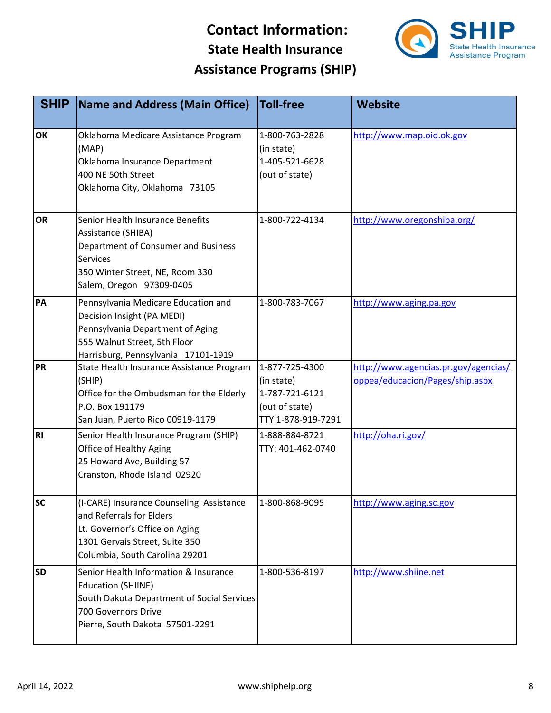

| <b>SHIP</b> | <b>Name and Address (Main Office)</b>                                                                                                                                           | <b>Toll-free</b>                                                                       | <b>Website</b>                                                          |
|-------------|---------------------------------------------------------------------------------------------------------------------------------------------------------------------------------|----------------------------------------------------------------------------------------|-------------------------------------------------------------------------|
| OK          | Oklahoma Medicare Assistance Program<br>(MAP)<br>Oklahoma Insurance Department<br>400 NE 50th Street<br>Oklahoma City, Oklahoma 73105                                           | 1-800-763-2828<br>(in state)<br>1-405-521-6628<br>(out of state)                       | http://www.map.oid.ok.gov                                               |
| <b>OR</b>   | Senior Health Insurance Benefits<br>Assistance (SHIBA)<br>Department of Consumer and Business<br><b>Services</b><br>350 Winter Street, NE, Room 330<br>Salem, Oregon 97309-0405 | 1-800-722-4134                                                                         | http://www.oregonshiba.org/                                             |
| PA          | Pennsylvania Medicare Education and<br>Decision Insight (PA MEDI)<br>Pennsylvania Department of Aging<br>555 Walnut Street, 5th Floor<br>Harrisburg, Pennsylvania 17101-1919    | 1-800-783-7067                                                                         | http://www.aging.pa.gov                                                 |
| PR          | State Health Insurance Assistance Program<br>(SHIP)<br>Office for the Ombudsman for the Elderly<br>P.O. Box 191179<br>San Juan, Puerto Rico 00919-1179                          | 1-877-725-4300<br>(in state)<br>1-787-721-6121<br>(out of state)<br>TTY 1-878-919-7291 | http://www.agencias.pr.gov/agencias/<br>oppea/educacion/Pages/ship.aspx |
| <b>RI</b>   | Senior Health Insurance Program (SHIP)<br><b>Office of Healthy Aging</b><br>25 Howard Ave, Building 57<br>Cranston, Rhode Island 02920                                          | 1-888-884-8721<br>TTY: 401-462-0740                                                    | http://oha.ri.gov/                                                      |
| <b>SC</b>   | (I-CARE) Insurance Counseling Assistance<br>and Referrals for Elders<br>Lt. Governor's Office on Aging<br>1301 Gervais Street, Suite 350<br>Columbia, South Carolina 29201      | 1-800-868-9095                                                                         | http://www.aging.sc.gov                                                 |
| <b>SD</b>   | Senior Health Information & Insurance<br><b>Education (SHIINE)</b><br>South Dakota Department of Social Services<br>700 Governors Drive<br>Pierre, South Dakota 57501-2291      | 1-800-536-8197                                                                         | http://www.shiine.net                                                   |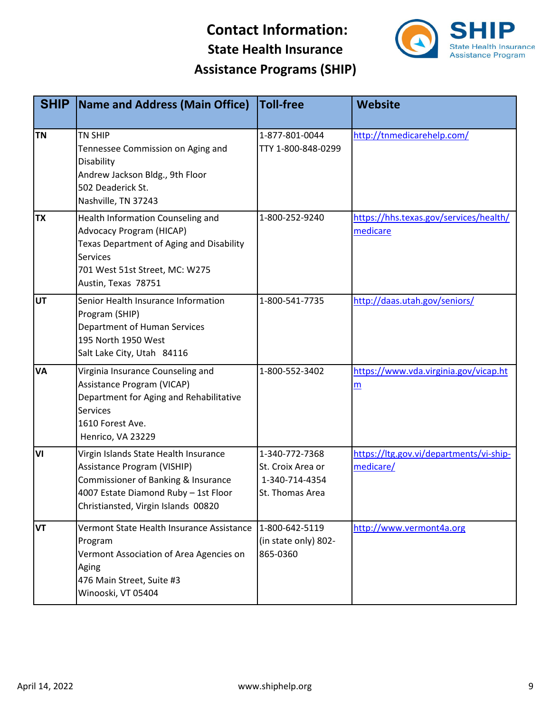

| <b>SHIP</b> | <b>Name and Address (Main Office)</b>                                                                                                                                                        | <b>Toll-free</b>                                                         | <b>Website</b>                                       |
|-------------|----------------------------------------------------------------------------------------------------------------------------------------------------------------------------------------------|--------------------------------------------------------------------------|------------------------------------------------------|
| <b>TN</b>   | <b>TN SHIP</b><br>Tennessee Commission on Aging and<br>Disability<br>Andrew Jackson Bldg., 9th Floor<br>502 Deaderick St.<br>Nashville, TN 37243                                             | 1-877-801-0044<br>TTY 1-800-848-0299                                     | http://tnmedicarehelp.com/                           |
| <b>TX</b>   | Health Information Counseling and<br><b>Advocacy Program (HICAP)</b><br>Texas Department of Aging and Disability<br><b>Services</b><br>701 West 51st Street, MC: W275<br>Austin, Texas 78751 | 1-800-252-9240                                                           | https://hhs.texas.gov/services/health/<br>medicare   |
| UT          | Senior Health Insurance Information<br>Program (SHIP)<br>Department of Human Services<br>195 North 1950 West<br>Salt Lake City, Utah 84116                                                   | 1-800-541-7735                                                           | http://daas.utah.gov/seniors/                        |
| <b>VA</b>   | Virginia Insurance Counseling and<br>Assistance Program (VICAP)<br>Department for Aging and Rehabilitative<br><b>Services</b><br>1610 Forest Ave.<br>Henrico, VA 23229                       | 1-800-552-3402                                                           | https://www.vda.virginia.gov/vicap.ht<br>m           |
| VI          | Virgin Islands State Health Insurance<br>Assistance Program (VISHIP)<br>Commissioner of Banking & Insurance<br>4007 Estate Diamond Ruby - 1st Floor<br>Christiansted, Virgin Islands 00820   | 1-340-772-7368<br>St. Croix Area or<br>1-340-714-4354<br>St. Thomas Area | https://ltg.gov.vi/departments/vi-ship-<br>medicare/ |
| <b>VT</b>   | Vermont State Health Insurance Assistance<br>Program<br>Vermont Association of Area Agencies on<br>Aging<br>476 Main Street, Suite #3<br>Winooski, VT 05404                                  | 1-800-642-5119<br>(in state only) 802-<br>865-0360                       | http://www.vermont4a.org                             |